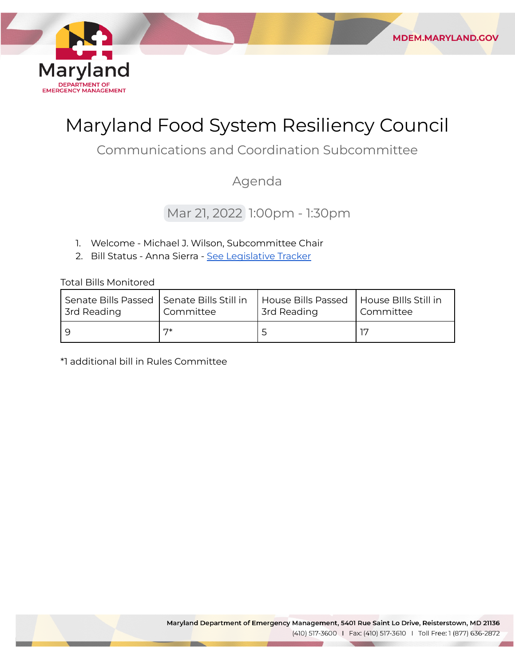

# Maryland Food System Resiliency Council

**MDEM.MARYLAND.GOV** 

Communications and Coordination Subcommittee

# Agenda

# Mar 21, 2022 1:00pm - 1:30pm

- 1. Welcome Michael J. Wilson, Subcommittee Chair
- 2. Bill Status Anna Sierra <u>[See Legislative Tracker](https://www.dropbox.com/scl/fi/ls4ttvp0ngx2qs83dcwnm/FSRC-2022-Legislative-Session-Tracker.xlsx?dl=0&rlkey=3qrlpjh2ah886dn5rm012b70n)</u>

Total Bills Monitored

| Senate Bills Passed   Senate Bills Still in | Committee | House Bills Passed | House Bills Still in |
|---------------------------------------------|-----------|--------------------|----------------------|
| 3rd Reading                                 |           | <b>3rd Reading</b> | Committee            |
|                                             | 7*        |                    |                      |

\*1 additional bill in Rules Committee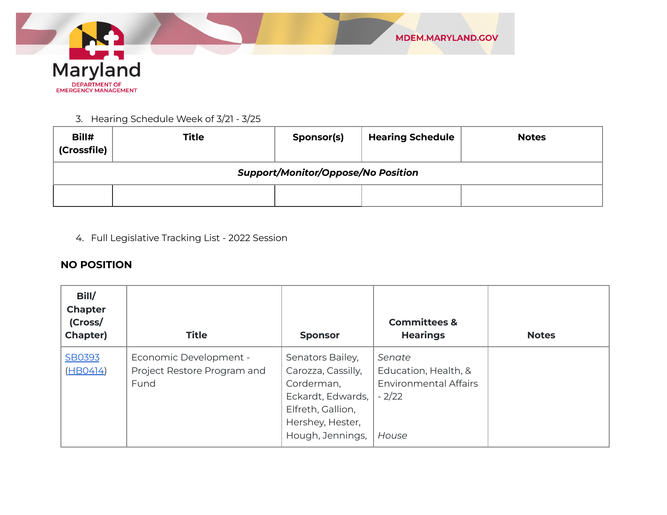

#### 3. Hearing Schedule Week of 3/21 - 3/25

| Bill#<br>(Crossfile)                      | <b>Title</b> | Sponsor(s) | <b>Hearing Schedule</b> | <b>Notes</b> |
|-------------------------------------------|--------------|------------|-------------------------|--------------|
| <b>Support/Monitor/Oppose/No Position</b> |              |            |                         |              |
|                                           |              |            |                         |              |

4. Full Legislative Tracking List - 2022 Session

## **NO POSITION**

| Bill/<br><b>Chapter</b><br>(Cross/<br><b>Chapter)</b> | <b>Title</b>                                                  | <b>Sponsor</b>                                                                                                                         | <b>Committees &amp;</b><br><b>Hearings</b>                                         | <b>Notes</b> |
|-------------------------------------------------------|---------------------------------------------------------------|----------------------------------------------------------------------------------------------------------------------------------------|------------------------------------------------------------------------------------|--------------|
| SB0393<br>(HBO414)                                    | Economic Development -<br>Project Restore Program and<br>Fund | Senators Bailey,<br>Carozza, Cassilly,<br>Corderman,<br>Eckardt, Edwards,<br>Elfreth, Gallion,<br>Hershey, Hester,<br>Hough, Jennings, | Senate<br>Education, Health, &<br><b>Environmental Affairs</b><br>$-2/22$<br>House |              |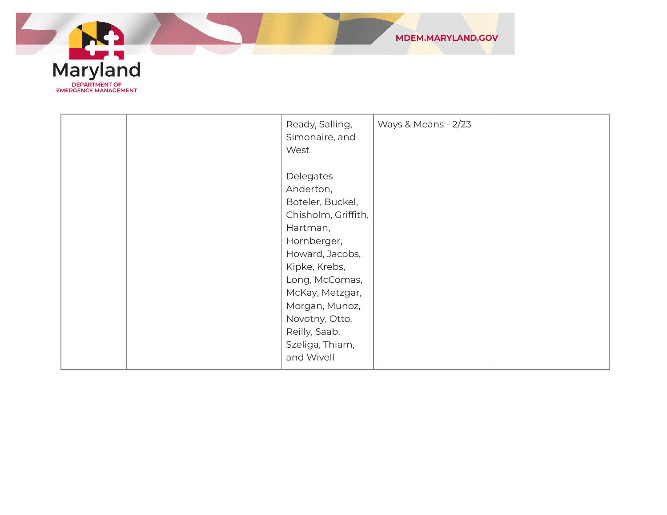

|  | Ready, Salling,<br>Simonaire, and | Ways & Means - 2/23 |  |
|--|-----------------------------------|---------------------|--|
|  | West                              |                     |  |
|  |                                   |                     |  |
|  | Delegates                         |                     |  |
|  | Anderton,                         |                     |  |
|  | Boteler, Buckel,                  |                     |  |
|  | Chisholm, Griffith,               |                     |  |
|  | Hartman,                          |                     |  |
|  | Hornberger,                       |                     |  |
|  | Howard, Jacobs,                   |                     |  |
|  | Kipke, Krebs,                     |                     |  |
|  | Long, McComas,                    |                     |  |
|  | McKay, Metzgar,                   |                     |  |
|  | Morgan, Munoz,                    |                     |  |
|  | Novotny, Otto,                    |                     |  |
|  | Reilly, Saab,                     |                     |  |
|  | Szeliga, Thiam,                   |                     |  |
|  | and Wivell                        |                     |  |
|  |                                   |                     |  |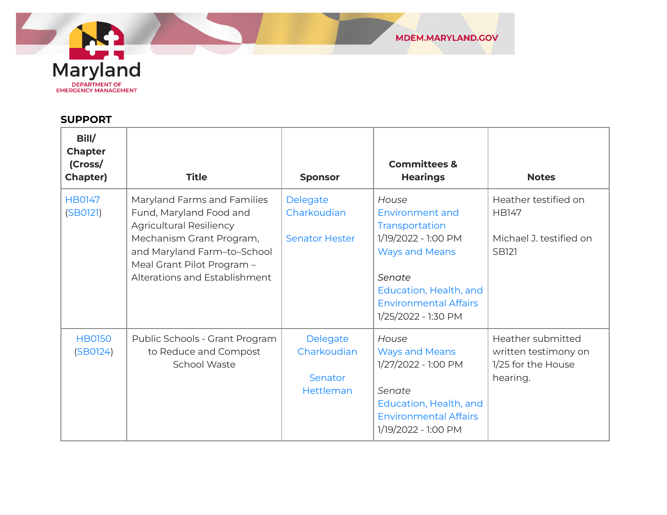

#### **SUPPORT**

| Bill/<br><b>Chapter</b><br>(Cross/<br><b>Chapter)</b> | <b>Title</b>                                                                                                                                                                                                       | <b>Sponsor</b>                                   | <b>Committees &amp;</b><br><b>Hearings</b>                                                                                                                                                   | <b>Notes</b>                                                                    |
|-------------------------------------------------------|--------------------------------------------------------------------------------------------------------------------------------------------------------------------------------------------------------------------|--------------------------------------------------|----------------------------------------------------------------------------------------------------------------------------------------------------------------------------------------------|---------------------------------------------------------------------------------|
| <b>HB0147</b><br>(SBO121)                             | Maryland Farms and Families<br>Fund, Maryland Food and<br><b>Agricultural Resiliency</b><br>Mechanism Grant Program,<br>and Maryland Farm-to-School<br>Meal Grant Pilot Program -<br>Alterations and Establishment | Delegate<br>Charkoudian<br><b>Senator Hester</b> | House<br><b>Environment and</b><br>Transportation<br>1/19/2022 - 1:00 PM<br><b>Ways and Means</b><br>Senate<br>Education, Health, and<br><b>Environmental Affairs</b><br>1/25/2022 - 1:30 PM | Heather testified on<br><b>HB147</b><br>Michael J. testified on<br><b>SB121</b> |
| <b>HB0150</b><br>(SBO124)                             | Public Schools - Grant Program<br>to Reduce and Compost<br>School Waste                                                                                                                                            | Delegate<br>Charkoudian<br>Senator<br>Hettleman  | House<br><b>Ways and Means</b><br>1/27/2022 - 1:00 PM<br>Senate<br>Education, Health, and<br><b>Environmental Affairs</b><br>1/19/2022 - 1:00 PM                                             | Heather submitted<br>written testimony on<br>1/25 for the House<br>hearing.     |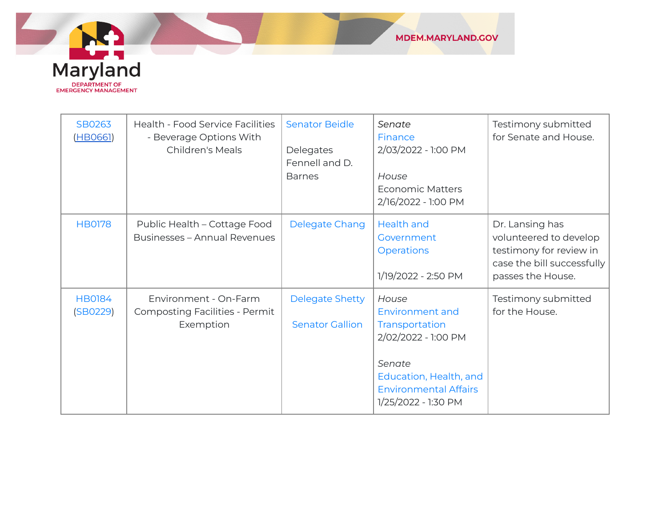

| SB0263<br>(HBO661)        | Health - Food Service Facilities<br>- Beverage Options With<br><b>Children's Meals</b> | <b>Senator Beidle</b><br>Delegates<br>Fennell and D.<br><b>Barnes</b> | Senate<br>Finance<br>2/03/2022 - 1:00 PM<br>House<br><b>Economic Matters</b><br>2/16/2022 - 1:00 PM                                                          | Testimony submitted<br>for Senate and House.                                                                            |
|---------------------------|----------------------------------------------------------------------------------------|-----------------------------------------------------------------------|--------------------------------------------------------------------------------------------------------------------------------------------------------------|-------------------------------------------------------------------------------------------------------------------------|
| <b>HB0178</b>             | Public Health - Cottage Food<br><b>Businesses - Annual Revenues</b>                    | Delegate Chang                                                        | <b>Health and</b><br>Government<br><b>Operations</b><br>1/19/2022 - 2:50 PM                                                                                  | Dr. Lansing has<br>volunteered to develop<br>testimony for review in<br>case the bill successfully<br>passes the House. |
| <b>HB0184</b><br>(SBO229) | Environment - On-Farm<br><b>Composting Facilities - Permit</b><br>Exemption            | <b>Delegate Shetty</b><br><b>Senator Gallion</b>                      | House<br>Environment and<br>Transportation<br>2/02/2022 - 1:00 PM<br>Senate<br>Education, Health, and<br><b>Environmental Affairs</b><br>1/25/2022 - 1:30 PM | Testimony submitted<br>for the House.                                                                                   |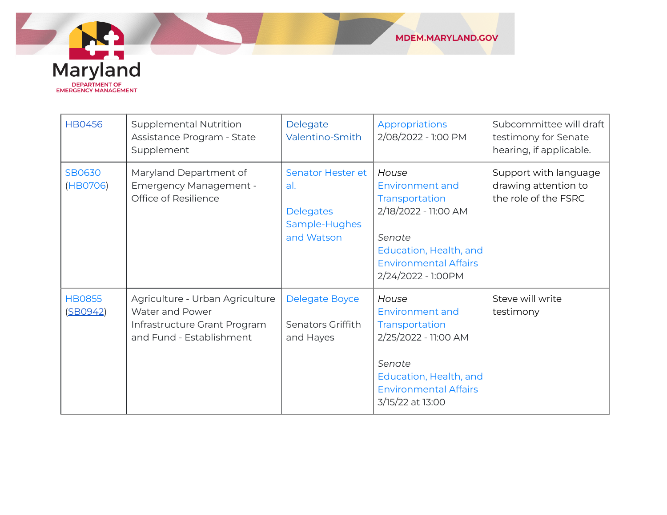

| <b>HB0456</b>             | <b>Supplemental Nutrition</b><br>Assistance Program - State<br>Supplement                                      | Delegate<br>Valentino-Smith                                                 | Appropriations<br>2/08/2022 - 1:00 PM                                                                                                                             | Subcommittee will draft<br>testimony for Senate<br>hearing, if applicable. |
|---------------------------|----------------------------------------------------------------------------------------------------------------|-----------------------------------------------------------------------------|-------------------------------------------------------------------------------------------------------------------------------------------------------------------|----------------------------------------------------------------------------|
| <b>SB0630</b><br>(HB0706) | Maryland Department of<br><b>Emergency Management -</b><br>Office of Resilience                                | Senator Hester et<br>al.<br><b>Delegates</b><br>Sample-Hughes<br>and Watson | House<br>Environment and<br>Transportation<br>2/18/2022 - 11:00 AM<br>Senate<br>Education, Health, and<br><b>Environmental Affairs</b><br>2/24/2022 - 1:00PM      | Support with language<br>drawing attention to<br>the role of the FSRC      |
| <b>HB0855</b><br>(SBO942) | Agriculture - Urban Agriculture<br>Water and Power<br>Infrastructure Grant Program<br>and Fund - Establishment | Delegate Boyce<br>Senators Griffith<br>and Hayes                            | House<br><b>Environment and</b><br>Transportation<br>2/25/2022 - 11:00 AM<br>Senate<br>Education, Health, and<br><b>Environmental Affairs</b><br>3/15/22 at 13:00 | Steve will write<br>testimony                                              |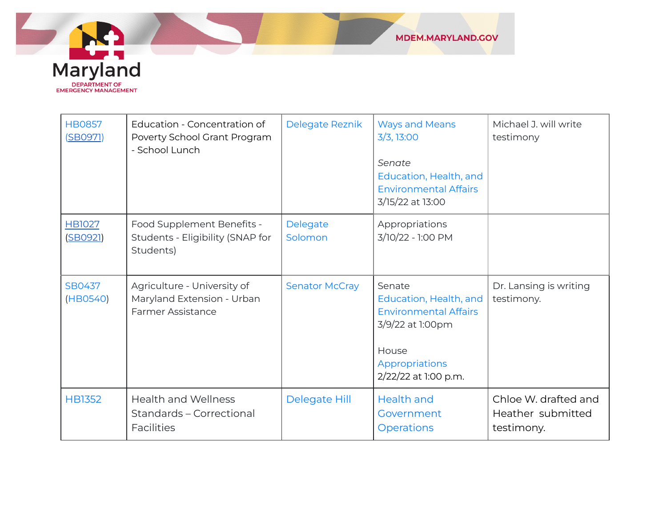

| <b>HB0857</b><br>(SB0971) | Education - Concentration of<br>Poverty School Grant Program<br>- School Lunch        | Delegate Reznik       | <b>Ways and Means</b><br>3/3, 13:00<br>Senate<br>Education, Health, and<br><b>Environmental Affairs</b><br>3/15/22 at 13:00             | Michael J. will write<br>testimony                      |
|---------------------------|---------------------------------------------------------------------------------------|-----------------------|-----------------------------------------------------------------------------------------------------------------------------------------|---------------------------------------------------------|
| <b>HB1027</b><br>(SB0921) | Food Supplement Benefits -<br>Students - Eligibility (SNAP for<br>Students)           | Delegate<br>Solomon   | Appropriations<br>3/10/22 - 1:00 PM                                                                                                     |                                                         |
| <b>SB0437</b><br>(HB0540) | Agriculture - University of<br>Maryland Extension - Urban<br><b>Farmer Assistance</b> | <b>Senator McCray</b> | Senate<br>Education, Health, and<br><b>Environmental Affairs</b><br>3/9/22 at 1:00pm<br>House<br>Appropriations<br>2/22/22 at 1:00 p.m. | Dr. Lansing is writing<br>testimony.                    |
| <b>HB1352</b>             | <b>Health and Wellness</b><br>Standards - Correctional<br><b>Facilities</b>           | Delegate Hill         | <b>Health and</b><br>Government<br><b>Operations</b>                                                                                    | Chloe W. drafted and<br>Heather submitted<br>testimony. |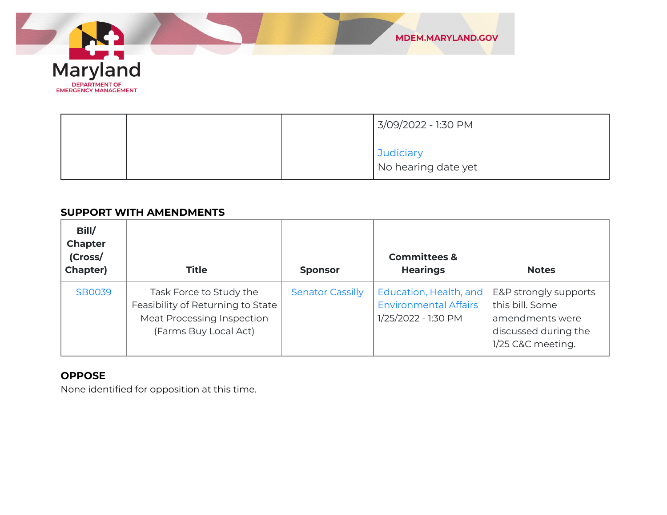

|  | 3/09/2022 - 1:30 PM              |  |
|--|----------------------------------|--|
|  | Judiciary<br>No hearing date yet |  |

#### **SUPPORT WITH AMENDMENTS**

| Bill/<br><b>Chapter</b><br>(Cross/<br><b>Chapter)</b> | <b>Title</b>                                                                                                        | <b>Sponsor</b>          | <b>Committees &amp;</b><br><b>Hearings</b>                                    | <b>Notes</b>                                                                                             |
|-------------------------------------------------------|---------------------------------------------------------------------------------------------------------------------|-------------------------|-------------------------------------------------------------------------------|----------------------------------------------------------------------------------------------------------|
| <b>SB0039</b>                                         | Task Force to Study the<br>Feasibility of Returning to State<br>Meat Processing Inspection<br>(Farms Buy Local Act) | <b>Senator Cassilly</b> | Education, Health, and<br><b>Environmental Affairs</b><br>1/25/2022 - 1:30 PM | E&P strongly supports<br>this bill. Some<br>amendments were<br>discussed during the<br>1/25 C&C meeting. |

#### **OPPOSE**

None identified for opposition at this time.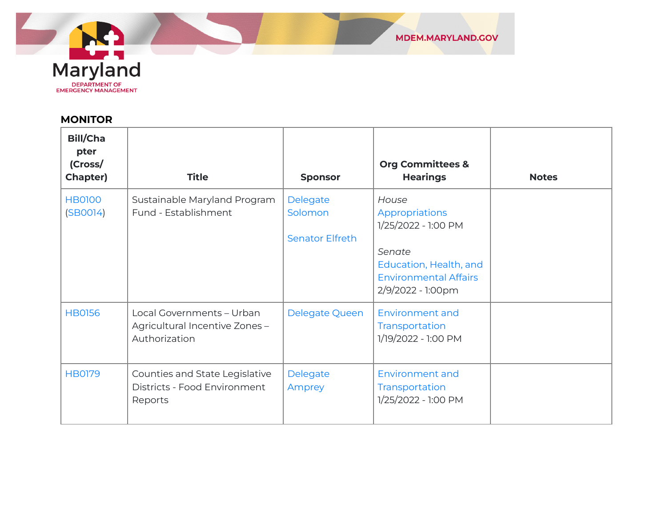

## **MONITOR**

| <b>Bill/Cha</b><br>pter<br>(Cross/<br><b>Chapter)</b> | <b>Title</b>                                                                 | <b>Sponsor</b>                                | <b>Org Committees &amp;</b><br><b>Hearings</b>                                                                                          | <b>Notes</b> |
|-------------------------------------------------------|------------------------------------------------------------------------------|-----------------------------------------------|-----------------------------------------------------------------------------------------------------------------------------------------|--------------|
| <b>HB0100</b><br>(SBOO14)                             | Sustainable Maryland Program<br>Fund - Establishment                         | Delegate<br>Solomon<br><b>Senator Elfreth</b> | House<br>Appropriations<br>1/25/2022 - 1:00 PM<br>Senate<br>Education, Health, and<br><b>Environmental Affairs</b><br>2/9/2022 - 1:00pm |              |
| <b>HB0156</b>                                         | Local Governments - Urban<br>Agricultural Incentive Zones -<br>Authorization | Delegate Queen                                | <b>Environment and</b><br>Transportation<br>1/19/2022 - 1:00 PM                                                                         |              |
| <b>HB0179</b>                                         | Counties and State Legislative<br>Districts - Food Environment<br>Reports    | Delegate<br>Amprey                            | <b>Environment and</b><br>Transportation<br>1/25/2022 - 1:00 PM                                                                         |              |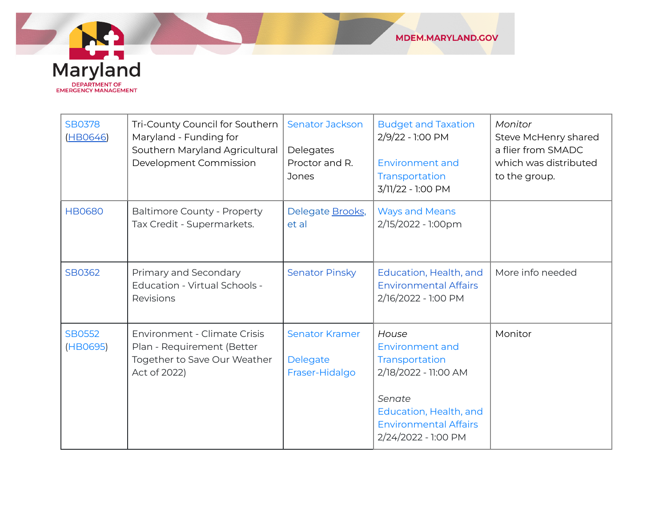

| <b>SB0378</b><br>(HBO646) | Tri-County Council for Southern<br>Maryland - Funding for<br>Southern Maryland Agricultural<br>Development Commission | <b>Senator Jackson</b><br>Delegates<br>Proctor and R.<br><b>Jones</b> | <b>Budget and Taxation</b><br>2/9/22 - 1:00 PM<br><b>Environment and</b><br>Transportation<br>3/11/22 - 1:00 PM                                               | Monitor<br>Steve McHenry shared<br>a flier from SMADC<br>which was distributed<br>to the group. |
|---------------------------|-----------------------------------------------------------------------------------------------------------------------|-----------------------------------------------------------------------|---------------------------------------------------------------------------------------------------------------------------------------------------------------|-------------------------------------------------------------------------------------------------|
| <b>HB0680</b>             | <b>Baltimore County - Property</b><br>Tax Credit - Supermarkets.                                                      | Delegate Brooks,<br>et al                                             | <b>Ways and Means</b><br>2/15/2022 - 1:00pm                                                                                                                   |                                                                                                 |
| SB0362                    | Primary and Secondary<br>Education - Virtual Schools -<br>Revisions                                                   | <b>Senator Pinsky</b>                                                 | Education, Health, and<br><b>Environmental Affairs</b><br>2/16/2022 - 1:00 PM                                                                                 | More info needed                                                                                |
| <b>SB0552</b><br>(HB0695) | Environment - Climate Crisis<br>Plan - Requirement (Better<br>Together to Save Our Weather<br>Act of 2022)            | <b>Senator Kramer</b><br>Delegate<br>Fraser-Hidalgo                   | House<br>Environment and<br>Transportation<br>2/18/2022 - 11:00 AM<br>Senate<br>Education, Health, and<br><b>Environmental Affairs</b><br>2/24/2022 - 1:00 PM | Monitor                                                                                         |